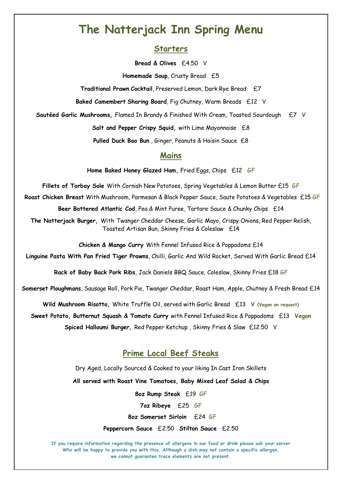## **The Natterjack Inn Spring Menu**

#### **Starters**

**Bread & Olives** £4.50 **V**

**Homemade Soup**, Crusty Bread £5

**Traditional Prawn Cocktail**, Preserved Lemon, Dark Rye Bread £7

**Baked Camembert Sharing Board**, Fig Chutney, Warm Breads £12 **V**

**Sautéed Garlic Mushrooms,** Flamed In Brandy & Finished With Cream, Toasted Sourdough £7 **V**

**Salt and Pepper Crispy Squid,** with Lime Mayonnaise £8

**Pulled Duck Bao Bun** , Ginger, Peanuts & Hoisin Sauce £8

## **Mains**

**Home Baked Honey Glazed Ham,** Fried Eggs, Chips £12 GF

**Fillets of Torbay Sole** With Cornish New Potatoes, Spring Vegetables & Lemon Butter £15 GF **Roast Chicken Breast** With Mushroom, Parmesan & Black Pepper Sauce, Saute Potatoes & Vegetables £15 GF

**Beer Battered Atlantic Cod**, Pea & Mint Puree, Tartare Sauce & Chunky Chips £14

**The Natterjack Burger,** With Twanger Cheddar Cheese, Garlic Mayo, Crispy Onions, Red Pepper Relish, Toasted Artisan Bun, Skinny Fries & Coleslaw £14

**Chicken & Mango Curry** With Fennel Infused Rice & Poppadoms £14

**Linguine Pasta With Pan Fried Tiger Prawns**, Chilli, Garlic And Wild Rocket, Served With Garlic Bread £14

**Rack of Baby Back Pork Ribs**, Jack Daniels BBQ Sauce, Coleslaw, Skinny Fries £18 GF

**Somerset Ploughmans**, Sausage Roll, Pork Pie, Twanger Cheddar, Roast Ham, Apple, Chutney & Fresh Bread £14

**Wild Mushroom Risotto,** White Truffle Oil, served with Garlic Bread £13 **V (Vegan on request)**

**Sweet Potato, Butternut Squash & Tomato Curry** with Fennel Infused Rice & Poppadoms £13 **Vegan**

**Spiced Halloumi Burger,** Red Pepper Ketchup , Skinny Fries & Slaw £12.50 **V** 

### **Prime Local Beef Steaks**

Dry Aged, Locally Sourced & Cooked to your liking In Cast Iron Skillets

**All served with Roast Vine Tomatoes, Baby Mixed Leaf Salad & Chips**

**8oz Rump Steak** £19 GF

**7oz Ribeye** £25 GF

 **8oz Somerset Sirloin** £24 GF

**Peppercorn Sauce** £2.50 **Stilton Sauce** £2.50

**If you require information regarding the presence of allergens in our food or drink please ask your server Who will be happy to provide you with this. Although a dish may not contain a specific allergen, we cannot guarantee trace elements are not present.**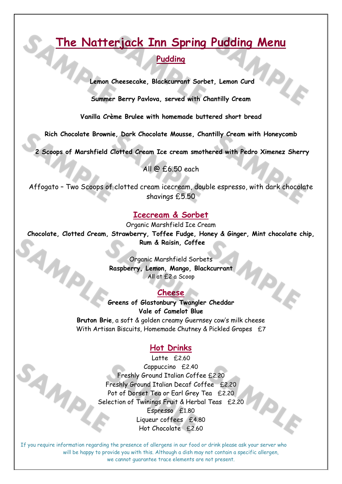# **The Natterjack Inn Spring Pudding Menu**

## **Pudding**

**Lemon Cheesecake, Blackcurrant Sorbet, Lemon Curd**

**Summer Berry Pavlova, served with Chantilly Cream**

**Vanilla Crème Brulee with homemade buttered short bread**

**Rich Chocolate Brownie, Dark Chocolate Mousse, Chantilly Cream with Honeycomb**

**2 Scoops of Marshfield Clotted Cream Ice cream smothered with Pedro Ximenez Sherry** 

All @ £6.50 each

Affogato – Two Scoops of clotted cream icecream, double espresso, with dark chocolate shavings £5.50

#### **Icecream & Sorbet**

Organic Marshfield Ice Cream Chocolate, Clotted Cream, Strawberry, Toffee Fudge, Honey & Ginger, Mint chocolate chip,<br>Rum & Raisin, Coffee<br>Organic Marshfield Sorbets<br>Raspberry, Lemon, Mango, Blackcurrant<br>All of E2 a Scoop **Rum & Raisin, Coffee**

Organic Marshfield Sorbets **Raspberry, Lemon, Mango, Blackcurrant** All at £2 a Scoop

## **Cheese**

MPLE

PLI

**Greens of Glastonbury Twangler Cheddar Vale of Camelot Blue**

**Bruton Brie**, a soft & golden creamy Guernsey cow's milk cheese With Artisan Biscuits, Homemade Chutney & Pickled Grapes £7

### **Hot Drinks**

Latte £2.60 Cappuccino £2.40 Freshly Ground Italian Coffee £2.20 Freshly Ground Italian Decaf Coffee £2.20 Pot of Dorset Tea or Earl Grey Tea £2.20 Selection of Twinings Fruit & Herbal Teas £2.20 Espresso £1.80 Liqueur coffees £4.80 Hot Chocolate £2.60

If you require information regarding the presence of allergens in our food or drink please ask your server who will be happy to provide you with this. Although a dish may not contain a specific allergen, we cannot guarantee trace elements are not present.

SAMPL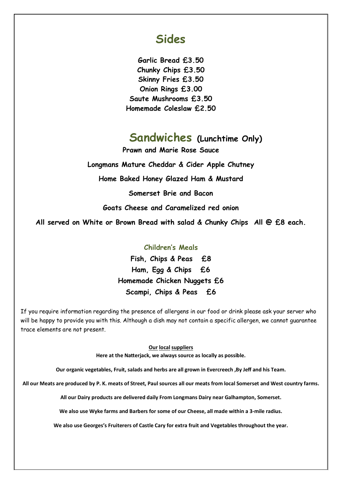## **Sides**

**Garlic Bread £3.50 Chunky Chips £3.50 Skinny Fries £3.50 Onion Rings £3.00 Saute Mushrooms £3.50 Homemade Coleslaw £2.50**

# **Sandwiches (Lunchtime Only)**

**Prawn and Marie Rose Sauce**

**Longmans Mature Cheddar & Cider Apple Chutney** 

**Home Baked Honey Glazed Ham & Mustard**

**Somerset Brie and Bacon**

**Goats Cheese and Caramelized red onion** 

**All served on White or Brown Bread with salad & Chunky Chips All @ £8 each.**

#### **Children's Meals**

**Fish, Chips & Peas £8 Ham, Egg & Chips £6 Homemade Chicken Nuggets £6 Scampi, Chips & Peas £6**

If you require information regarding the presence of allergens in our food or drink please ask your server who will be happy to provide you with this. Although a dish may not contain a specific allergen, we cannot guarantee trace elements are not present.

#### **Our local suppliers Here at the Naterjack, we always source as locally as possible.**

**Our organic vegetables, Fruit, salads and herbs are all grown in Evercreech ,By Jeff and his Team.** 

**All our Meats are produced by P. K. meats of Street, Paul sources all our meats from local Somerset and West country farms.**

**All our Dairy products are delivered daily From Longmans Dairy near Galhampton, Somerset.**

**We also use Wyke farms and Barbers for some of our Cheese, all made within a 3-mile radius.** 

**We also use Georges's Fruiterers of Castle Cary for extra fruit and Vegetables throughout the year.**